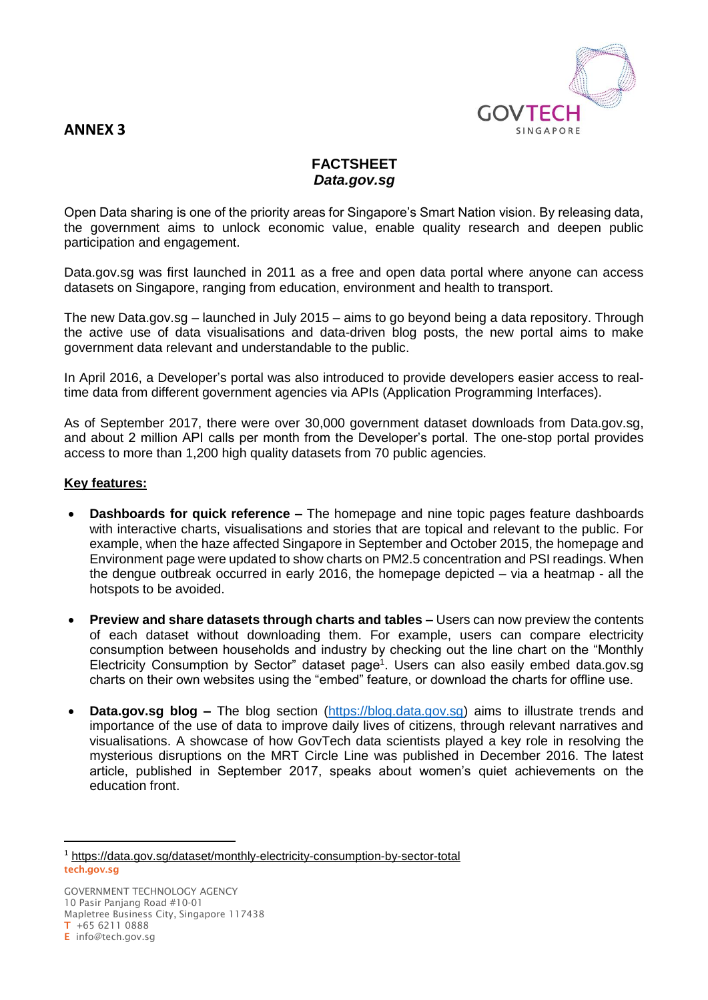# **GOVTECH** SINGAPORE

## **ANNEX 3**

## **FACTSHEET** *Data.gov.sg*

Open Data sharing is one of the priority areas for Singapore's Smart Nation vision. By releasing data, the government aims to unlock economic value, enable quality research and deepen public participation and engagement.

Data.gov.sg was first launched in 2011 as a free and open data portal where anyone can access datasets on Singapore, ranging from education, environment and health to transport.

The new Data.gov.sg – launched in July 2015 – aims to go beyond being a data repository. Through the active use of data visualisations and data-driven blog posts, the new portal aims to make government data relevant and understandable to the public.

In April 2016, a Developer's portal was also introduced to provide developers easier access to realtime data from different government agencies via APIs (Application Programming Interfaces).

As of September 2017, there were over 30,000 government dataset downloads from Data.gov.sg, and about 2 million API calls per month from the Developer's portal. The one-stop portal provides access to more than 1,200 high quality datasets from 70 public agencies.

### **Key features:**

- **Dashboards for quick reference –** The homepage and nine topic pages feature dashboards with interactive charts, visualisations and stories that are topical and relevant to the public. For example, when the haze affected Singapore in September and October 2015, the homepage and Environment page were updated to show charts on PM2.5 concentration and PSI readings. When the dengue outbreak occurred in early 2016, the homepage depicted – via a heatmap - all the hotspots to be avoided.
- **Preview and share datasets through charts and tables –** Users can now preview the contents of each dataset without downloading them. For example, users can compare electricity consumption between households and industry by checking out the line chart on the "Monthly Electricity Consumption by Sector" dataset page<sup>1</sup>. Users can also easily embed data.gov.sg charts on their own websites using the "embed" feature, or download the charts for offline use.
- **Data.gov.sg blog –** The blog section [\(https://blog.data.gov.sg\)](https://blog.data.gov.sg/) aims to illustrate trends and importance of the use of data to improve daily lives of citizens, through relevant narratives and visualisations. A showcase of how GovTech data scientists played a key role in resolving the mysterious disruptions on the MRT Circle Line was published in December 2016. The latest article, published in September 2017, speaks about women's quiet achievements on the education front.

 $\overline{a}$ 

**tech.gov.sg**  <sup>1</sup> https://data.gov.sg/dataset/monthly-electricity-consumption-by-sector-total